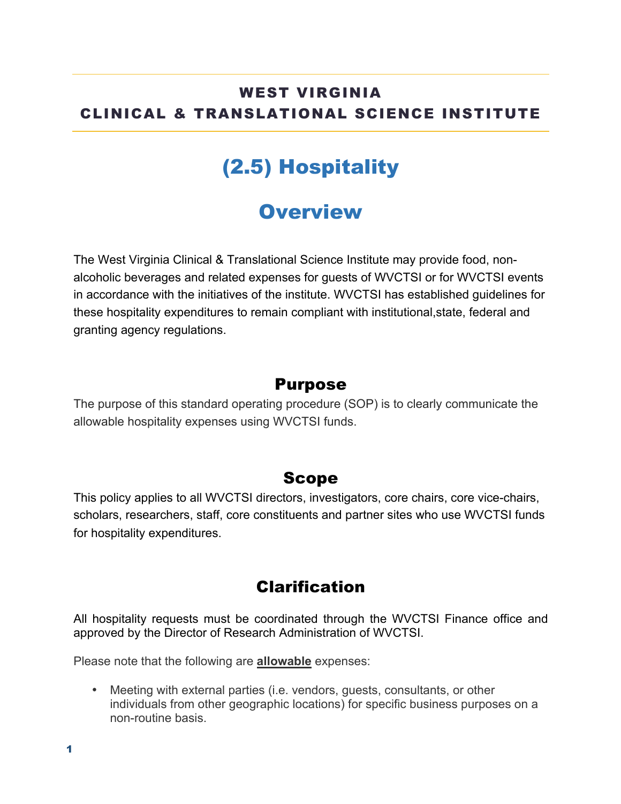## WEST VIRGINIA CLINICAL & TRANSLATIONAL SCIENCE INSTITUTE

# (2.5) Hospitality

# **Overview**

The West Virginia Clinical & Translational Science Institute may provide food, nonalcoholic beverages and related expenses for guests of WVCTSI or for WVCTSI events in accordance with the initiatives of the institute. WVCTSI has established guidelines for these hospitality expenditures to remain compliant with institutional,state, federal and granting agency regulations.

#### Purpose

The purpose of this standard operating procedure (SOP) is to clearly communicate the allowable hospitality expenses using WVCTSI funds.

#### Scope

This policy applies to all WVCTSI directors, investigators, core chairs, core vice-chairs, scholars, researchers, staff, core constituents and partner sites who use WVCTSI funds for hospitality expenditures.

## Clarification

All hospitality requests must be coordinated through the WVCTSI Finance office and approved by the Director of Research Administration of WVCTSI.

Please note that the following are **allowable** expenses:

• Meeting with external parties (i.e. vendors, guests, consultants, or other individuals from other geographic locations) for specific business purposes on a non-routine basis.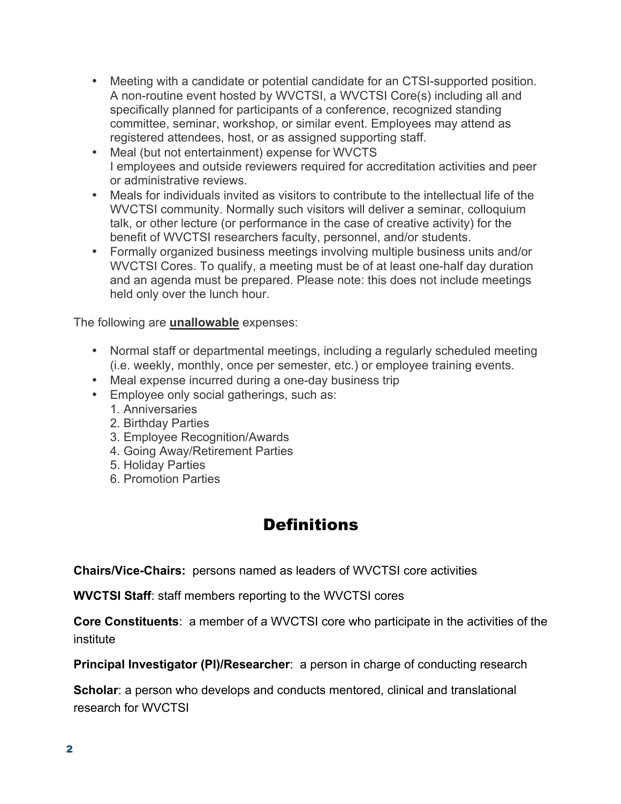- Meeting with a candidate or potential candidate for an CTSI-supported position. A non-routine event hosted by WVCTSI, a WVCTSI Core(s) including all and specifically planned for participants of a conference, recognized standing committee, seminar, workshop, or similar event. Employees may attend as registered attendees, host, or as assigned supporting staff.
- Meal (but not entertainment) expense for WVCTS I employees and outside reviewers required for accreditation activities and peer or administrative reviews.
- Meals for individuals invited as visitors to contribute to the intellectual life of the WVCTSI community. Normally such visitors will deliver a seminar, colloquium talk, or other lecture (or performance in the case of creative activity) for the benefit of WVCTSI researchers faculty, personnel, and/or students.
- Formally organized business meetings involving multiple business units and/or WVCTSI Cores. To qualify, a meeting must be of at least one-half day duration and an agenda must be prepared. Please note: this does not include meetings held only over the lunch hour.

The following are **unallowable** expenses:

- Normal staff or departmental meetings, including a regularly scheduled meeting (i.e. weekly, monthly, once per semester, etc.) or employee training events.
- Meal expense incurred during a one-day business trip
- Employee only social gatherings, such as:
	- 1. Anniversaries
	- 2. Birthday Parties
	- 3. Employee Recognition/Awards
	- 4. Going Away/Retirement Parties
	- 5. Holiday Parties
	- 6. Promotion Parties

## **Definitions**

**Chairs/Vice-Chairs:** persons named as leaders of WVCTSI core activities

**WVCTSI Staff**: staff members reporting to the WVCTSI cores

**Core Constituents**: a member of a WVCTSI core who participate in the activities of the institute

**Principal Investigator (PI)/Researcher:** a person in charge of conducting research

**Scholar**: a person who develops and conducts mentored, clinical and translational research for WVCTSI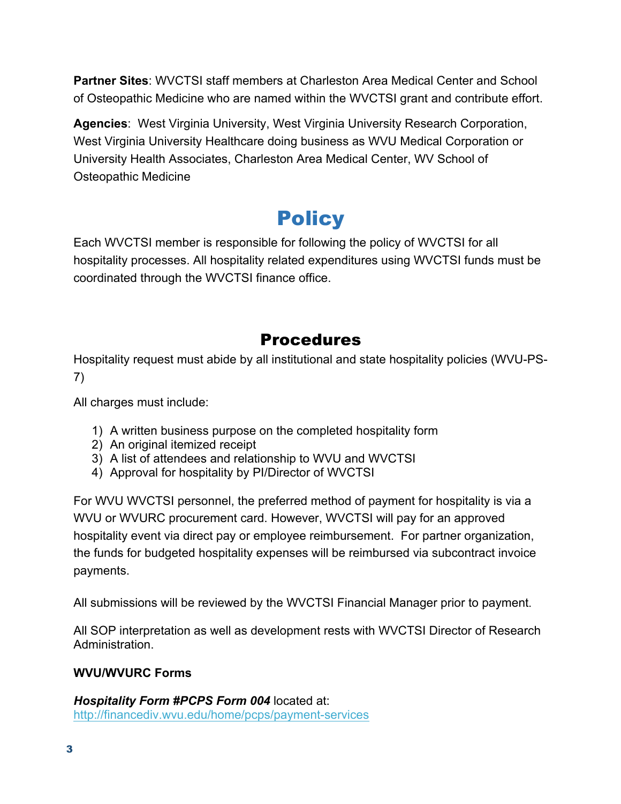**Partner Sites**: WVCTSI staff members at Charleston Area Medical Center and School of Osteopathic Medicine who are named within the WVCTSI grant and contribute effort.

**Agencies**: West Virginia University, West Virginia University Research Corporation, West Virginia University Healthcare doing business as WVU Medical Corporation or University Health Associates, Charleston Area Medical Center, WV School of Osteopathic Medicine

# **Policy**

Each WVCTSI member is responsible for following the policy of WVCTSI for all hospitality processes. All hospitality related expenditures using WVCTSI funds must be coordinated through the WVCTSI finance office.

## Procedures

Hospitality request must abide by all institutional and state hospitality policies (WVU-PS-7)

All charges must include:

- 1) A written business purpose on the completed hospitality form
- 2) An original itemized receipt
- 3) A list of attendees and relationship to WVU and WVCTSI
- 4) Approval for hospitality by PI/Director of WVCTSI

For WVU WVCTSI personnel, the preferred method of payment for hospitality is via a WVU or WVURC procurement card. However, WVCTSI will pay for an approved hospitality event via direct pay or employee reimbursement. For partner organization, the funds for budgeted hospitality expenses will be reimbursed via subcontract invoice payments.

All submissions will be reviewed by the WVCTSI Financial Manager prior to payment.

All SOP interpretation as well as development rests with WVCTSI Director of Research Administration.

#### **WVU/WVURC Forms**

*Hospitality Form #PCPS Form 004* located at: http://financediv.wvu.edu/home/pcps/payment-services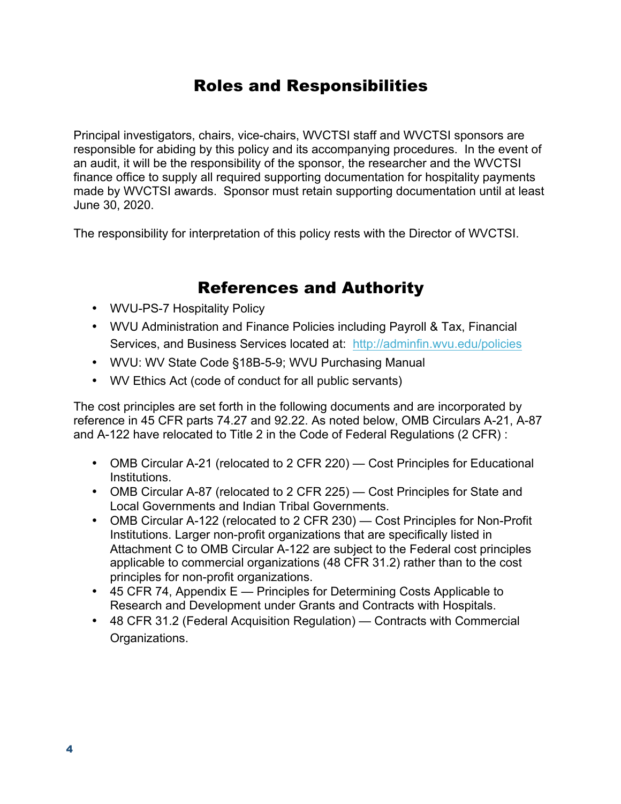### Roles and Responsibilities

Principal investigators, chairs, vice-chairs, WVCTSI staff and WVCTSI sponsors are responsible for abiding by this policy and its accompanying procedures. In the event of an audit, it will be the responsibility of the sponsor, the researcher and the WVCTSI finance office to supply all required supporting documentation for hospitality payments made by WVCTSI awards. Sponsor must retain supporting documentation until at least June 30, 2020.

The responsibility for interpretation of this policy rests with the Director of WVCTSI.

#### References and Authority

- WVU-PS-7 Hospitality Policy
- WVU Administration and Finance Policies including Payroll & Tax, Financial Services, and Business Services located at: http://adminfin.wvu.edu/policies
- WVU: WV State Code §18B-5-9; WVU Purchasing Manual
- WV Ethics Act (code of conduct for all public servants)

The cost principles are set forth in the following documents and are incorporated by reference in 45 CFR parts 74.27 and 92.22. As noted below, OMB Circulars A-21, A-87 and A-122 have relocated to Title 2 in the Code of Federal Regulations (2 CFR) :

- OMB Circular A-21 (relocated to 2 CFR 220) Cost Principles for Educational Institutions.
- OMB Circular A-87 (relocated to 2 CFR 225) Cost Principles for State and Local Governments and Indian Tribal Governments.
- OMB Circular A-122 (relocated to 2 CFR 230) Cost Principles for Non-Profit Institutions. Larger non-profit organizations that are specifically listed in Attachment C to OMB Circular A-122 are subject to the Federal cost principles applicable to commercial organizations (48 CFR 31.2) rather than to the cost principles for non-profit organizations.
- 45 CFR 74, Appendix E Principles for Determining Costs Applicable to Research and Development under Grants and Contracts with Hospitals.
- 48 CFR 31.2 (Federal Acquisition Regulation) Contracts with Commercial Organizations.